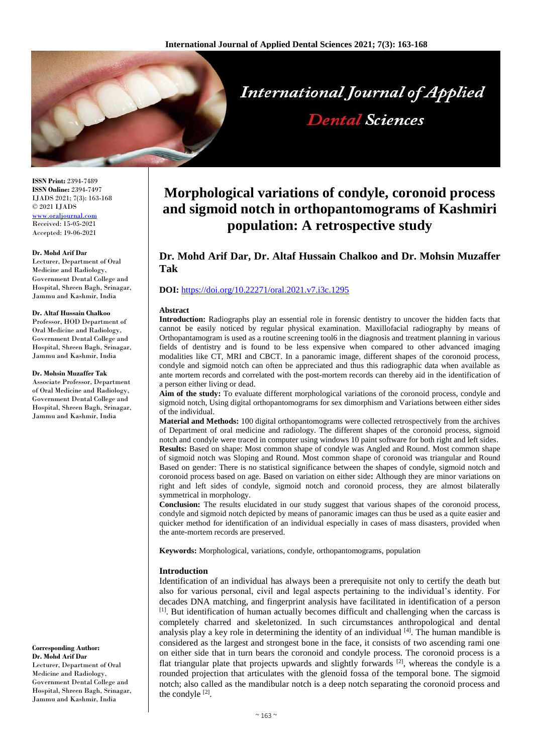

**ISSN Print:** 2394-7489 **ISSN Online:** 2394-7497 IJADS 2021; 7(3): 163-168 © 2021 IJADS [www.oraljournal.com](http://www.oraljournal.com/) Received: 15-05-2021 Accepted: 19-06-2021

#### **Dr. Mohd Arif Dar**

Lecturer, Department of Oral Medicine and Radiology, Government Dental College and Hospital, Shreen Bagh, Srinagar, Jammu and Kashmir, India

#### **Dr. Altaf Hussain Chalkoo**

Professor, HOD Department of Oral Medicine and Radiology, Government Dental College and Hospital, Shreen Bagh, Srinagar, Jammu and Kashmir, India

#### **Dr. Mohsin Muzaffer Tak**

Associate Professor, Department of Oral Medicine and Radiology, Government Dental College and Hospital, Shreen Bagh, Srinagar, Jammu and Kashmir, India

**Corresponding Author: Dr. Mohd Arif Dar** Lecturer, Department of Oral Medicine and Radiology, Government Dental College and Hospital, Shreen Bagh, Srinagar, Jammu and Kashmir, India

# **Morphological variations of condyle, coronoid process and sigmoid notch in orthopantomograms of Kashmiri population: A retrospective study**

# **Dr. Mohd Arif Dar, Dr. Altaf Hussain Chalkoo and Dr. Mohsin Muzaffer Tak**

## **DOI:** <https://doi.org/10.22271/oral.2021.v7.i3c.1295>

#### **Abstract**

**Introduction:** Radiographs play an essential role in forensic dentistry to uncover the hidden facts that cannot be easily noticed by regular physical examination. Maxillofacial radiography by means of Orthopantamogram is used as a routine screening tool6 in the diagnosis and treatment planning in various fields of dentistry and is found to be less expensive when compared to other advanced imaging modalities like CT, MRI and CBCT. In a panoramic image, different shapes of the coronoid process, condyle and sigmoid notch can often be appreciated and thus this radiographic data when available as ante mortem records and correlated with the post-mortem records can thereby aid in the identification of a person either living or dead.

**Aim of the study:** To evaluate different morphological variations of the coronoid process, condyle and sigmoid notch, Using digital orthopantomograms for sex dimorphism and Variations between either sides of the individual.

**Material and Methods:** 100 digital orthopantomograms were collected retrospectively from the archives of Department of oral medicine and radiology. The different shapes of the coronoid process, sigmoid notch and condyle were traced in computer using windows 10 paint software for both right and left sides. **Results:** Based on shape: Most common shape of condyle was Angled and Round. Most common shape of sigmoid notch was Sloping and Round. Most common shape of coronoid was triangular and Round Based on gender: There is no statistical significance between the shapes of condyle, sigmoid notch and coronoid process based on age. Based on variation on either side**:** Although they are minor variations on right and left sides of condyle, sigmoid notch and coronoid process, they are almost bilaterally symmetrical in morphology.

**Conclusion:** The results elucidated in our study suggest that various shapes of the coronoid process, condyle and sigmoid notch depicted by means of panoramic images can thus be used as a quite easier and quicker method for identification of an individual especially in cases of mass disasters, provided when the ante-mortem records are preserved.

**Keywords:** Morphological, variations, condyle, orthopantomograms, population

# **Introduction**

Identification of an individual has always been a prerequisite not only to certify the death but also for various personal, civil and legal aspects pertaining to the individual's identity. For decades DNA matching, and fingerprint analysis have facilitated in identification of a person [1]. But identification of human actually becomes difficult and challenging when the carcass is completely charred and skeletonized. In such circumstances anthropological and dental analysis play a key role in determining the identity of an individual  $[4]$ . The human mandible is considered as the largest and strongest bone in the face, it consists of two ascending rami one on either side that in turn bears the coronoid and condyle process. The coronoid process is a flat triangular plate that projects upwards and slightly forwards  $[2]$ , whereas the condyle is a rounded projection that articulates with the glenoid fossa of the temporal bone. The sigmoid notch; also called as the mandibular notch is a deep notch separating the coronoid process and the condyle  $[2]$ .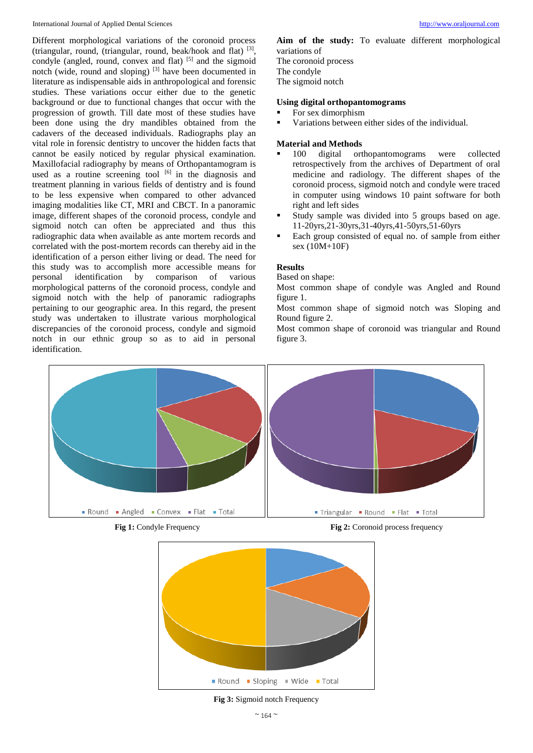International Journal of Applied Dental Sciences [http://www.oraljournal.com](http://www.oraljournal.com/)

Different morphological variations of the coronoid process (triangular, round, (triangular, round, beak/hook and flat) [3] , condyle (angled, round, convex and flat)  $[5]$  and the sigmoid notch (wide, round and sloping) [3] have been documented in literature as indispensable aids in anthropological and forensic studies. These variations occur either due to the genetic background or due to functional changes that occur with the progression of growth. Till date most of these studies have been done using the dry mandibles obtained from the cadavers of the deceased individuals. Radiographs play an vital role in forensic dentistry to uncover the hidden facts that cannot be easily noticed by regular physical examination. Maxillofacial radiography by means of Orthopantamogram is used as a routine screening tool  $[6]$  in the diagnosis and treatment planning in various fields of dentistry and is found to be less expensive when compared to other advanced imaging modalities like CT, MRI and CBCT. In a panoramic image, different shapes of the coronoid process, condyle and sigmoid notch can often be appreciated and thus this radiographic data when available as ante mortem records and correlated with the post-mortem records can thereby aid in the identification of a person either living or dead. The need for this study was to accomplish more accessible means for personal identification by comparison of various morphological patterns of the coronoid process, condyle and sigmoid notch with the help of panoramic radiographs pertaining to our geographic area. In this regard, the present study was undertaken to illustrate various morphological discrepancies of the coronoid process, condyle and sigmoid notch in our ethnic group so as to aid in personal identification.

**Aim of the study:** To evaluate different morphological variations of The coronoid process The condyle The sigmoid notch

## **Using digital orthopantomograms**

- For sex dimorphism
- Variations between either sides of the individual.

# **Material and Methods**

- 100 digital orthopantomograms were collected retrospectively from the archives of Department of oral medicine and radiology. The different shapes of the coronoid process, sigmoid notch and condyle were traced in computer using windows 10 paint software for both right and left sides
- Study sample was divided into 5 groups based on age. 11-20yrs,21-30yrs,31-40yrs,41-50yrs,51-60yrs
- Each group consisted of equal no. of sample from either sex (10M+10F)

# **Results**

Based on shape:

Most common shape of condyle was Angled and Round figure 1.

Most common shape of sigmoid notch was Sloping and Round figure 2.

Most common shape of coronoid was triangular and Round figure 3.



**Fig 1:** Condyle Frequency **Fig 2:** Coronoid process frequency



**Fig 3:** Sigmoid notch Frequency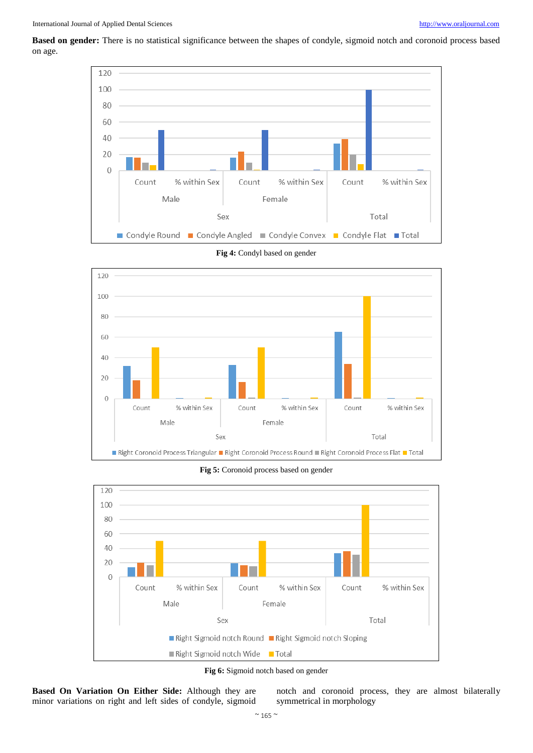**Based on gender:** There is no statistical significance between the shapes of condyle, sigmoid notch and coronoid process based on age.



**Fig 4:** Condyl based on gender



**Fig 5:** Coronoid process based on gender



**Fig 6:** Sigmoid notch based on gender



notch and coronoid process, they are almost bilaterally symmetrical in morphology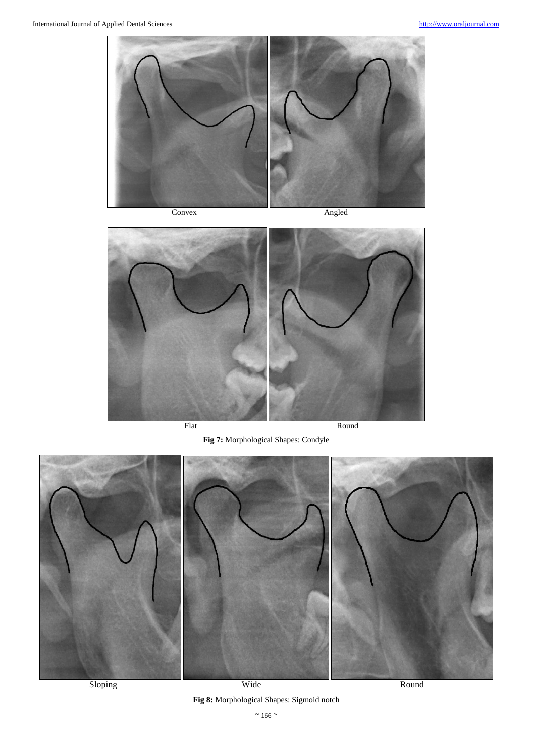

![](_page_3_Picture_5.jpeg)

**Fig 7:** Morphological Shapes: Condyle

![](_page_3_Picture_9.jpeg)

Sloping Round Round Round Round Round Round Round Round Round Round Round Round Round Round Round Round Round Round Round Round Round Round Round Round Round Round Round Round Round Round Round Round Round Round Round Roun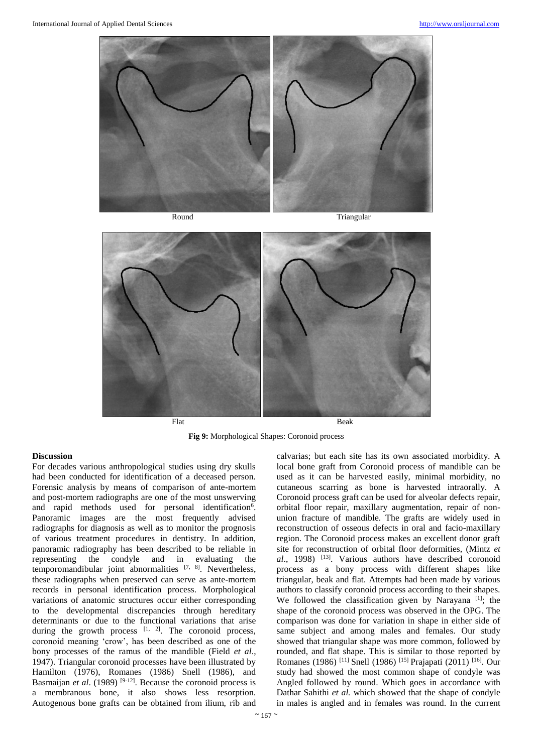![](_page_4_Picture_2.jpeg)

Round Triangular

![](_page_4_Figure_5.jpeg)

**Fig 9:** Morphological Shapes: Coronoid process

#### **Discussion**

For decades various anthropological studies using dry skulls had been conducted for identification of a deceased person. Forensic analysis by means of comparison of ante-mortem and post-mortem radiographs are one of the most unswerving and rapid methods used for personal identification<sup>6</sup>. Panoramic images are the most frequently advised radiographs for diagnosis as well as to monitor the prognosis of various treatment procedures in dentistry. In addition, panoramic radiography has been described to be reliable in representing the condyle and in evaluating the temporomandibular joint abnormalities  $[7, 8]$ . Nevertheless, these radiographs when preserved can serve as ante-mortem records in personal identification process. Morphological variations of anatomic structures occur either corresponding to the developmental discrepancies through hereditary determinants or due to the functional variations that arise during the growth process  $[1, 2]$ . The coronoid process, coronoid meaning 'crow', has been described as one of the bony processes of the ramus of the mandible (Field *et al*., 1947). Triangular coronoid processes have been illustrated by Hamilton (1976), Romanes (1986) Snell (1986), and Basmaijan *et al.* (1989)<sup>[9-12]</sup>. Because the coronoid process is a membranous bone, it also shows less resorption. Autogenous bone grafts can be obtained from ilium, rib and

calvarias; but each site has its own associated morbidity. A local bone graft from Coronoid process of mandible can be used as it can be harvested easily, minimal morbidity, no cutaneous scarring as bone is harvested intraorally. A Coronoid process graft can be used for alveolar defects repair, orbital floor repair, maxillary augmentation, repair of nonunion fracture of mandible. The grafts are widely used in reconstruction of osseous defects in oral and facio-maxillary region. The Coronoid process makes an excellent donor graft site for reconstruction of orbital floor deformities, (Mintz *et al*., 1998) [13] . Various authors have described coronoid process as a bony process with different shapes like triangular, beak and flat. Attempts had been made by various authors to classify coronoid process according to their shapes. We followed the classification given by Narayana<sup>[1]</sup>; the shape of the coronoid process was observed in the OPG. The comparison was done for variation in shape in either side of same subject and among males and females. Our study showed that triangular shape was more common, followed by rounded, and flat shape. This is similar to those reported by Romanes (1986)<sup>[11]</sup> Snell (1986)<sup>[15]</sup> Prajapati (2011)<sup>[16]</sup>. Our study had showed the most common shape of condyle was Angled followed by round. Which goes in accordance with Dathar Sahithi *et al.* which showed that the shape of condyle in males is angled and in females was round. In the current